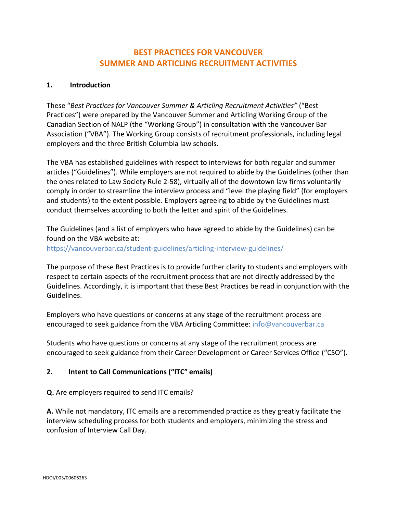# **BEST PRACTICES FOR VANCOUVER SUMMER AND ARTICLING RECRUITMENT ACTIVITIES**

### **1. Introduction**

These "*Best Practices for Vancouver Summer & Articling Recruitment Activities"* ("Best Practices") were prepared by the Vancouver Summer and Articling Working Group of the Canadian Section of NALP (the "Working Group") in consultation with the Vancouver Bar Association ("VBA"). The Working Group consists of recruitment professionals, including legal employers and the three British Columbia law schools.

The VBA has established guidelines with respect to interviews for both regular and summer articles ("Guidelines"). While employers are not required to abide by the Guidelines (other than the ones related to Law Society Rule 2-58), virtually all of the downtown law firms voluntarily comply in order to streamline the interview process and "level the playing field" (for employers and students) to the extent possible. Employers agreeing to abide by the Guidelines must conduct themselves according to both the letter and spirit of the Guidelines.

The Guidelines (and a list of employers who have agreed to abide by the Guidelines) can be found on the VBA website at: https://vancouverbar.ca/student-guidelines/articling-interview-guidelines/

The purpose of these Best Practices is to provide further clarity to students and employers with respect to certain aspects of the recruitment process that are not directly addressed by the Guidelines. Accordingly, it is important that these Best Practices be read in conjunction with the Guidelines.

Employers who have questions or concerns at any stage of the recruitment process are encouraged to seek guidance from the VBA Articling Committee: [info@vancouverbar.ca](mailto:info@vancouverbar.ca)

Students who have questions or concerns at any stage of the recruitment process are encouraged to seek guidance from their Career Development or Career Services Office ("CSO").

#### **2. Intent to Call Communications ("ITC" emails)**

**Q.** Are employers required to send ITC emails?

**A.** While not mandatory, ITC emails are a recommended practice as they greatly facilitate the interview scheduling process for both students and employers, minimizing the stress and confusion of Interview Call Day.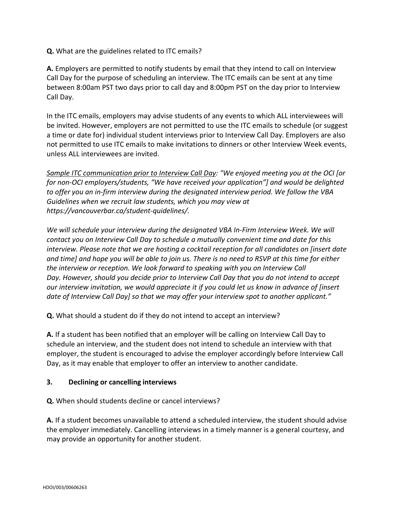**Q.** What are the guidelines related to ITC emails?

**A.** Employers are permitted to notify students by email that they intend to call on Interview Call Day for the purpose of scheduling an interview. The ITC emails can be sent at any time between 8:00am PST two days prior to call day and 8:00pm PST on the day prior to Interview Call Day.

In the ITC emails, employers may advise students of any events to which ALL interviewees will be invited. However, employers are not permitted to use the ITC emails to schedule (or suggest a time or date for) individual student interviews prior to Interview Call Day. Employers are also not permitted to use ITC emails to make invitations to dinners or other Interview Week events, unless ALL interviewees are invited.

*Sample ITC communication prior to Interview Call Day: "We enjoyed meeting you at the OCI [or for non-OCI employers/students, "We have received your application"] and would be delighted to offer you an in-firm interview during the designated interview period. We follow the VBA Guidelines when we recruit law students, which you may view at https://vancouverbar.ca/student-quidelines/.*

*We will schedule your interview during the designated VBA In-Firm Interview Week. We will contact you on Interview Call Day to schedule a mutually convenient time and date for this interview. Please note that we are hosting a cocktail reception for all candidates on [insert date and time] and hope you will be able to join us. There is no need to RSVP at this time for either the interview or reception. We look forward to speaking with you on Interview Call Day. However, should you decide prior to Interview Call Day that you do not intend to accept our interview invitation, we would appreciate it if you could let us know in advance of [insert date of Interview Call Day] so that we may offer your interview spot to another applicant."*

**Q.** What should a student do if they do not intend to accept an interview?

**A.** If a student has been notified that an employer will be calling on Interview Call Day to schedule an interview, and the student does not intend to schedule an interview with that employer, the student is encouraged to advise the employer accordingly before Interview Call Day, as it may enable that employer to offer an interview to another candidate.

#### **3. Declining or cancelling interviews**

**Q.** When should students decline or cancel interviews?

**A.** If a student becomes unavailable to attend a scheduled interview, the student should advise the employer immediately. Cancelling interviews in a timely manner is a general courtesy, and may provide an opportunity for another student.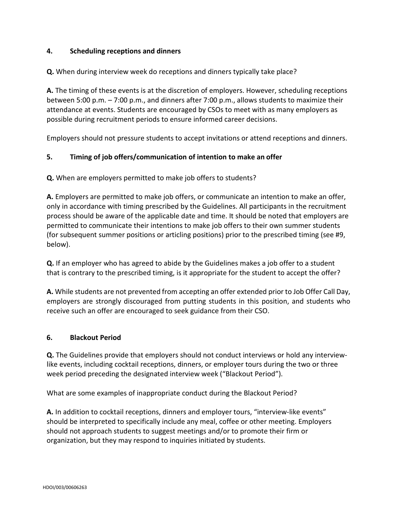## **4. Scheduling receptions and dinners**

## **Q.** When during interview week do receptions and dinners typically take place?

**A.** The timing of these events is at the discretion of employers. However, scheduling receptions between 5:00 p.m. – 7:00 p.m., and dinners after 7:00 p.m., allows students to maximize their attendance at events. Students are encouraged by CSOs to meet with as many employers as possible during recruitment periods to ensure informed career decisions.

Employers should not pressure students to accept invitations or attend receptions and dinners.

# **5. Timing of job offers/communication of intention to make an offer**

**Q.** When are employers permitted to make job offers to students?

**A.** Employers are permitted to make job offers, or communicate an intention to make an offer, only in accordance with timing prescribed by the Guidelines. All participants in the recruitment process should be aware of the applicable date and time. It should be noted that employers are permitted to communicate their intentions to make job offers to their own summer students (for subsequent summer positions or articling positions) prior to the prescribed timing (see #9, below).

**Q.** If an employer who has agreed to abide by the Guidelines makes a job offer to a student that is contrary to the prescribed timing, is it appropriate for the student to accept the offer?

**A.** While students are not prevented from accepting an offer extended prior to Job Offer Call Day, employers are strongly discouraged from putting students in this position, and students who receive such an offer are encouraged to seek guidance from their CSO.

#### **6. Blackout Period**

**Q.** The Guidelines provide that employers should not conduct interviews or hold any interviewlike events, including cocktail receptions, dinners, or employer tours during the two or three week period preceding the designated interview week ("Blackout Period").

What are some examples of inappropriate conduct during the Blackout Period?

**A.** In addition to cocktail receptions, dinners and employer tours, "interview-like events" should be interpreted to specifically include any meal, coffee or other meeting. Employers should not approach students to suggest meetings and/or to promote their firm or organization, but they may respond to inquiries initiated by students.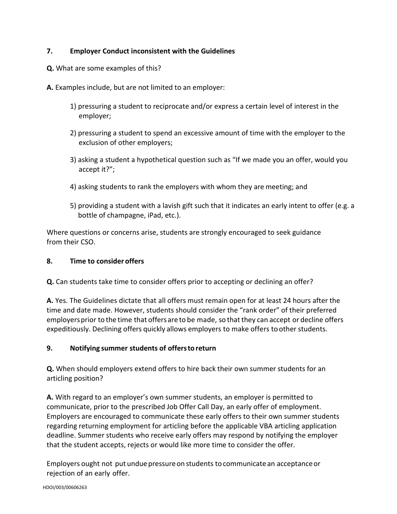# **7. Employer Conduct inconsistent with the Guidelines**

- **Q.** What are some examples of this?
- **A.** Examples include, but are not limited to an employer:
	- 1) pressuring a student to reciprocate and/or express a certain level of interest in the employer;
	- 2) pressuring a student to spend an excessive amount of time with the employer to the exclusion of other employers;
	- 3) asking a student a hypothetical question such as "If we made you an offer, would you accept it?";
	- 4) asking students to rank the employers with whom they are meeting; and
	- 5) providing a student with a lavish gift such that it indicates an early intent to offer (e.g. a bottle of champagne, iPad, etc.).

Where questions or concerns arise, students are strongly encouraged to seek guidance from their CSO.

### **8. Time to consider offers**

**Q.** Can students take time to consider offers prior to accepting or declining an offer?

**A.** Yes. The Guidelines dictate that all offers must remain open for at least 24 hours after the time and date made. However, students should consider the "rank order" of their preferred employersprior to the time that offersare to be made, so that they can accept or decline offers expeditiously. Declining offers quickly allows employers to make offers to other students.

# **9. Notifying summer students of offerstoreturn**

**Q.** When should employers extend offers to hire back their own summer students for an articling position?

**A.** With regard to an employer's own summer students, an employer is permitted to communicate, prior to the prescribed Job Offer Call Day, an early offer of employment. Employers are encouraged to communicate these early offers to their own summer students regarding returning employment for articling before the applicable VBA articling application deadline. Summer students who receive early offers may respond by notifying the employer that the student accepts, rejects or would like more time to consider the offer.

Employers ought not put undue pressureon students to communicate an acceptanceor rejection of an early offer.